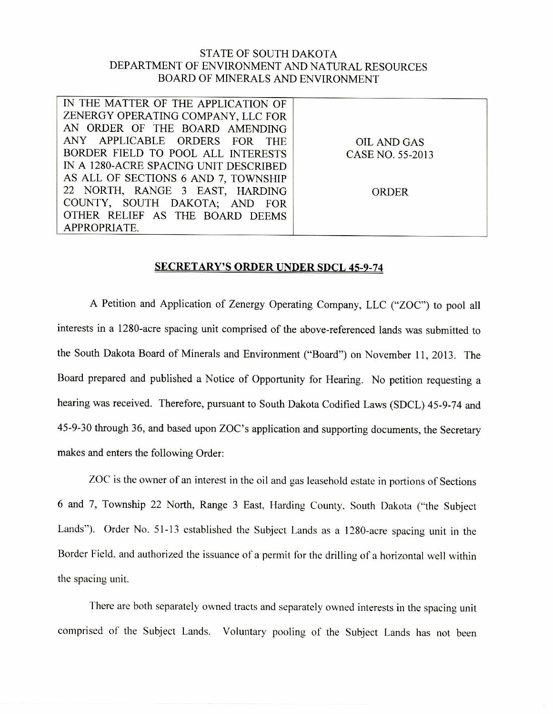## STATE OF SOUTH DAKOTA DEPARTMENT OF ENVIRONMENT AND NATURAL RESOURCES BOARD OF MINERALS AND ENVIRONMENT

| IN THE MATTER OF THE APPLICATION OF   |                  |
|---------------------------------------|------------------|
| ZENERGY OPERATING COMPANY, LLC FOR    |                  |
| AN ORDER OF THE BOARD AMENDING        |                  |
| ANY APPLICABLE ORDERS FOR THE         | OIL AND GAS      |
| BORDER FIELD TO POOL ALL INTERESTS    | CASE NO. 55-2013 |
| IN A 1280-ACRE SPACING UNIT DESCRIBED |                  |
| AS ALL OF SECTIONS 6 AND 7, TOWNSHIP  |                  |
| 22 NORTH, RANGE 3 EAST, HARDING       | <b>ORDER</b>     |
| COUNTY, SOUTH DAKOTA; AND FOR         |                  |
| OTHER RELIEF AS THE BOARD DEEMS       |                  |
| APPROPRIATE.                          |                  |

## SECRETARY'S ORDER UNDER SDCL 45-9-74

A Petition and Application of Zenergy Operating Company, LLC ("ZOC") to pool all interests in a 1280-acre spacing unit comprised of the above-referenced lands was submitted to the South Dakota Board of Minerals and Environment ("Board") on November 11, 2013. The Board prepared and published a Notice of Opportunity for Hearing. No petition requesting a hearing was received. Therefore, pursuant to South Dakota Codified Laws (SDCL) 45-9-74 and 45-9-30 through 36, and based upon ZOC's application and supporting documents, the Secretary makes and enters the following Order:

ZOC is the owner of an interest in the oil and gas leasehold estate in portions of Sections 6 and 7, Township 22 North, Range 3 East, Harding County. South Dakota ("the Subject Lands"). Order No. 51-13 established the Subject Lands as a 1280-acre spacing unit in the Border Field, and authorized the issuance of a permit for the drilling of a horizontal well within the spacing unit.

There are both separately owned tracts and separately owned interests in the spacing unit comprised of the Subject Lands. Voluntary pooling of the Subject Lands has not been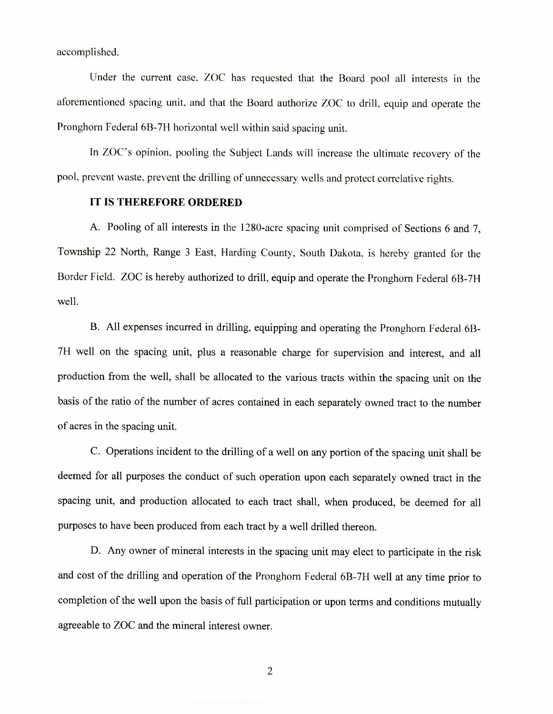accomplished.

Under the current case, ZOC has requested that the Board pool all interests in the aforementioned spacing unit, and that the Board authorize ZOC to drill, equip and operate the Pronghorn Federal 6B-7H horizontal well within said spacing unit.

In ZOC's opinion, pooling the Subject Lands will increase the ultimate recovery of the pool, prevent waste, prevent the drilling of unnecessary wells and protect correlative rights.

## **IT IS THEREFORE ORDERED**

A. Pooling of all interests in the 1280-acre spacing unit comprised of Sections 6 and 7, Township 22 North, Range 3 East, Harding County, South Dakota, is hereby granted for the Border Field. ZOC is hereby authorized to drill, equip and operate the Pronghorn Federal 6B-7H well.

B. All expenses incurred in drilling, equipping and operating the Pronghorn Federal 6B-711 well on the spacing unit, plus a reasonable charge for supervision and interest, and all production from the well, shall be allocated to the various tracts within the spacing unit on the basis of the ratio of the number of acres contained in each separately owned tract to the number of acres in the spacing unit.

C. Operations incident to the drilling of a well on any portion of the spacing unit shall be deemed for all purposes the conduct of such operation upon each separately owned tract in the spacing unit, and production allocated to each tract shall, when produced, be deemed for all purposes to have been produced from each tract by a well drilled thereon.

D. Any owner of mineral interests in the spacing unit may elect to participate in the risk and cost of the drilling and operation of the Pronghorn Federal 6B-7H well at any time prior to completion of the well upon the basis of full participation or upon terms and conditions mutually agreeable to ZOC and the mineral interest owner.

2